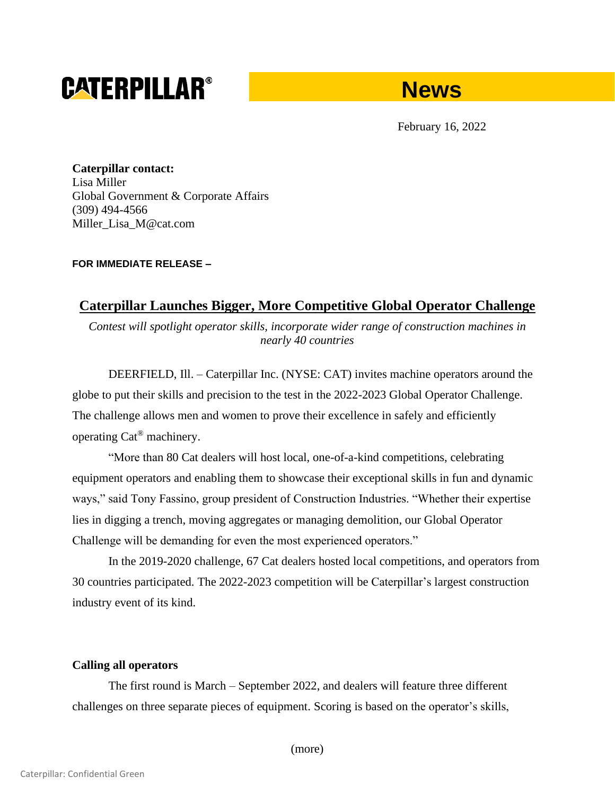# **CATERPILLAR®**



February 16, 2022

**Caterpillar contact:** Lisa Miller Global Government & Corporate Affairs (309) 494-4566 Miller\_Lisa\_M@cat.com

### **FOR IMMEDIATE RELEASE –**

## **Caterpillar Launches Bigger, More Competitive Global Operator Challenge**

*Contest will spotlight operator skills, incorporate wider range of construction machines in nearly 40 countries*

DEERFIELD, Ill. – Caterpillar Inc. (NYSE: CAT) invites machine operators around the globe to put their skills and precision to the test in the 2022-2023 Global Operator Challenge. The challenge allows men and women to prove their excellence in safely and efficiently operating Cat® machinery.

"More than 80 Cat dealers will host local, one-of-a-kind competitions, celebrating equipment operators and enabling them to showcase their exceptional skills in fun and dynamic ways," said Tony Fassino, group president of Construction Industries. "Whether their expertise lies in digging a trench, moving aggregates or managing demolition, our Global Operator Challenge will be demanding for even the most experienced operators."

In the 2019-2020 challenge, 67 Cat dealers hosted local competitions, and operators from 30 countries participated. The 2022-2023 competition will be Caterpillar's largest construction industry event of its kind.

## **Calling all operators**

The first round is March – September 2022, and dealers will feature three different challenges on three separate pieces of equipment. Scoring is based on the operator's skills,